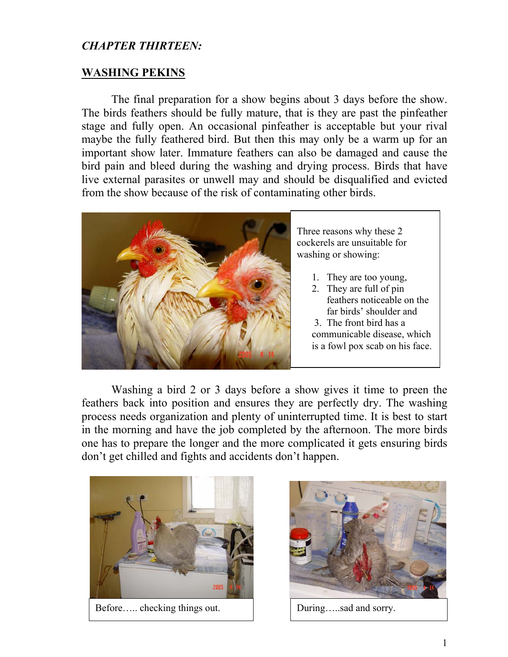## *CHAPTER THIRTEEN:*

## **WASHING PEKINS**

The final preparation for a show begins about 3 days before the show. The birds feathers should be fully mature, that is they are past the pinfeather stage and fully open. An occasional pinfeather is acceptable but your rival maybe the fully feathered bird. But then this may only be a warm up for an important show later. Immature feathers can also be damaged and cause the bird pain and bleed during the washing and drying process. Birds that have live external parasites or unwell may and should be disqualified and evicted from the show because of the risk of contaminating other birds.



Three reasons why these 2 cockerels are unsuitable for washing or showing:

- 1. They are too young,
- 2. They are full of pin feathers noticeable on the far birds' shoulder and
- 3. The front bird has a
- communicable disease, which is a fowl pox scab on his face.

Washing a bird 2 or 3 days before a show gives it time to preen the feathers back into position and ensures they are perfectly dry. The washing process needs organization and plenty of uninterrupted time. It is best to start in the morning and have the job completed by the afternoon. The more birds one has to prepare the longer and the more complicated it gets ensuring birds don't get chilled and fights and accidents don't happen.



Before….. checking things out. During…..sad and sorry.

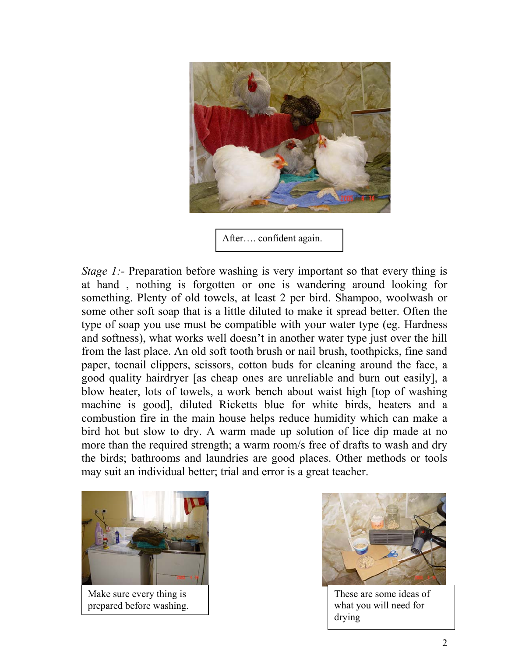

After…. confident again.

*Stage 1:*- Preparation before washing is very important so that every thing is at hand , nothing is forgotten or one is wandering around looking for something. Plenty of old towels, at least 2 per bird. Shampoo, woolwash or some other soft soap that is a little diluted to make it spread better. Often the type of soap you use must be compatible with your water type (eg. Hardness and softness), what works well doesn't in another water type just over the hill from the last place. An old soft tooth brush or nail brush, toothpicks, fine sand paper, toenail clippers, scissors, cotton buds for cleaning around the face, a good quality hairdryer [as cheap ones are unreliable and burn out easily], a blow heater, lots of towels, a work bench about waist high [top of washing machine is good], diluted Ricketts blue for white birds, heaters and a combustion fire in the main house helps reduce humidity which can make a bird hot but slow to dry. A warm made up solution of lice dip made at no more than the required strength; a warm room/s free of drafts to wash and dry the birds; bathrooms and laundries are good places. Other methods or tools may suit an individual better; trial and error is a great teacher.



Make sure every thing is prepared before washing.



These are some ideas of what you will need for drying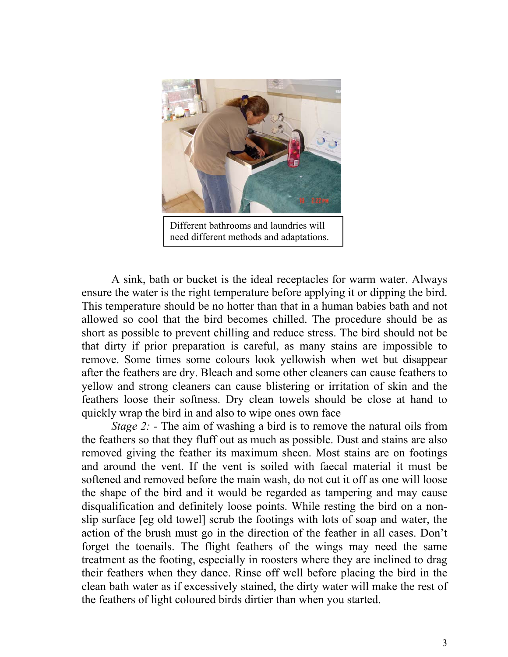

A sink, bath or bucket is the ideal receptacles for warm water. Always ensure the water is the right temperature before applying it or dipping the bird. This temperature should be no hotter than that in a human babies bath and not allowed so cool that the bird becomes chilled. The procedure should be as short as possible to prevent chilling and reduce stress. The bird should not be that dirty if prior preparation is careful, as many stains are impossible to remove. Some times some colours look yellowish when wet but disappear after the feathers are dry. Bleach and some other cleaners can cause feathers to yellow and strong cleaners can cause blistering or irritation of skin and the feathers loose their softness. Dry clean towels should be close at hand to quickly wrap the bird in and also to wipe ones own face

*Stage 2: -* The aim of washing a bird is to remove the natural oils from the feathers so that they fluff out as much as possible. Dust and stains are also removed giving the feather its maximum sheen. Most stains are on footings and around the vent. If the vent is soiled with faecal material it must be softened and removed before the main wash, do not cut it off as one will loose the shape of the bird and it would be regarded as tampering and may cause disqualification and definitely loose points. While resting the bird on a nonslip surface [eg old towel] scrub the footings with lots of soap and water, the action of the brush must go in the direction of the feather in all cases. Don't forget the toenails. The flight feathers of the wings may need the same treatment as the footing, especially in roosters where they are inclined to drag their feathers when they dance. Rinse off well before placing the bird in the clean bath water as if excessively stained, the dirty water will make the rest of the feathers of light coloured birds dirtier than when you started.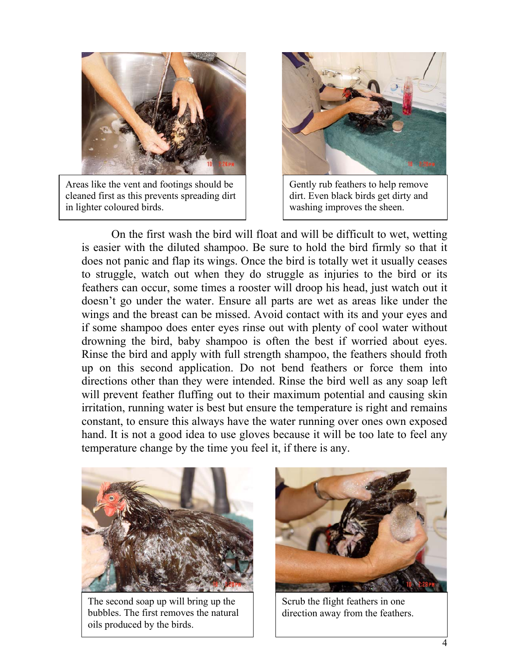

Areas like the vent and footings should be cleaned first as this prevents spreading dirt in lighter coloured birds.



Gently rub feathers to help remove dirt. Even black birds get dirty and washing improves the sheen.

On the first wash the bird will float and will be difficult to wet, wetting is easier with the diluted shampoo. Be sure to hold the bird firmly so that it does not panic and flap its wings. Once the bird is totally wet it usually ceases to struggle, watch out when they do struggle as injuries to the bird or its feathers can occur, some times a rooster will droop his head, just watch out it doesn't go under the water. Ensure all parts are wet as areas like under the wings and the breast can be missed. Avoid contact with its and your eyes and if some shampoo does enter eyes rinse out with plenty of cool water without drowning the bird, baby shampoo is often the best if worried about eyes. Rinse the bird and apply with full strength shampoo, the feathers should froth up on this second application. Do not bend feathers or force them into directions other than they were intended. Rinse the bird well as any soap left will prevent feather fluffing out to their maximum potential and causing skin irritation, running water is best but ensure the temperature is right and remains constant, to ensure this always have the water running over ones own exposed hand. It is not a good idea to use gloves because it will be too late to feel any temperature change by the time you feel it, if there is any.



The second soap up will bring up the bubbles. The first removes the natural oils produced by the birds.



Scrub the flight feathers in one direction away from the feathers.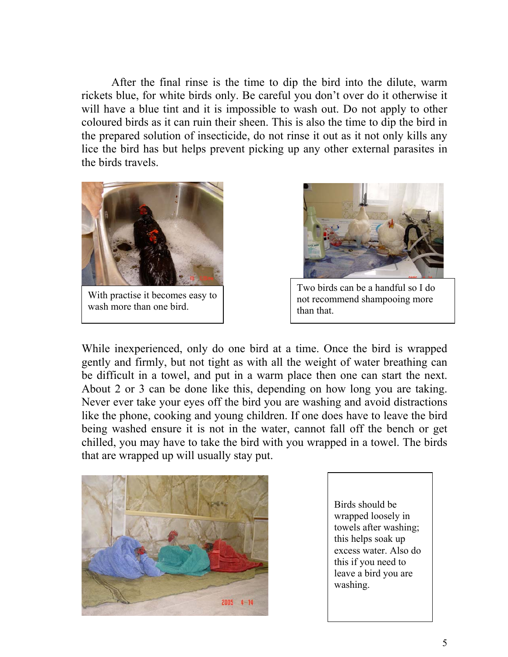After the final rinse is the time to dip the bird into the dilute, warm rickets blue, for white birds only. Be careful you don't over do it otherwise it will have a blue tint and it is impossible to wash out. Do not apply to other coloured birds as it can ruin their sheen. This is also the time to dip the bird in the prepared solution of insecticide, do not rinse it out as it not only kills any lice the bird has but helps prevent picking up any other external parasites in the birds travels.



With practise it becomes easy to wash more than one bird.



Two birds can be a handful so I do not recommend shampooing more than that.

While inexperienced, only do one bird at a time. Once the bird is wrapped gently and firmly, but not tight as with all the weight of water breathing can be difficult in a towel, and put in a warm place then one can start the next. About 2 or 3 can be done like this, depending on how long you are taking. Never ever take your eyes off the bird you are washing and avoid distractions like the phone, cooking and young children. If one does have to leave the bird being washed ensure it is not in the water, cannot fall off the bench or get chilled, you may have to take the bird with you wrapped in a towel. The birds that are wrapped up will usually stay put.



Birds should be wrapped loosely in towels after washing; this helps soak up excess water. Also do this if you need to leave a bird you are washing.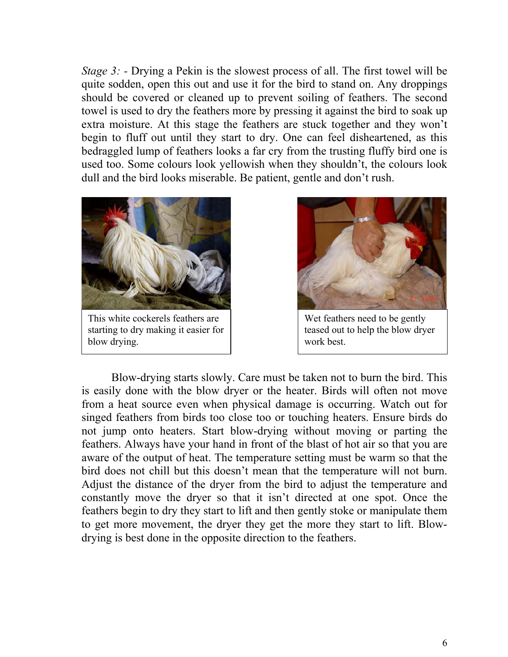*Stage 3:* - Drying a Pekin is the slowest process of all. The first towel will be quite sodden, open this out and use it for the bird to stand on. Any droppings should be covered or cleaned up to prevent soiling of feathers. The second towel is used to dry the feathers more by pressing it against the bird to soak up extra moisture. At this stage the feathers are stuck together and they won't begin to fluff out until they start to dry. One can feel disheartened, as this bedraggled lump of feathers looks a far cry from the trusting fluffy bird one is used too. Some colours look yellowish when they shouldn't, the colours look dull and the bird looks miserable. Be patient, gentle and don't rush.



starting to dry making it easier for blow drying.



Wet feathers need to be gently teased out to help the blow dryer work best.

Blow-drying starts slowly. Care must be taken not to burn the bird. This is easily done with the blow dryer or the heater. Birds will often not move from a heat source even when physical damage is occurring. Watch out for singed feathers from birds too close too or touching heaters. Ensure birds do not jump onto heaters. Start blow-drying without moving or parting the feathers. Always have your hand in front of the blast of hot air so that you are aware of the output of heat. The temperature setting must be warm so that the bird does not chill but this doesn't mean that the temperature will not burn. Adjust the distance of the dryer from the bird to adjust the temperature and constantly move the dryer so that it isn't directed at one spot. Once the feathers begin to dry they start to lift and then gently stoke or manipulate them to get more movement, the dryer they get the more they start to lift. Blowdrying is best done in the opposite direction to the feathers.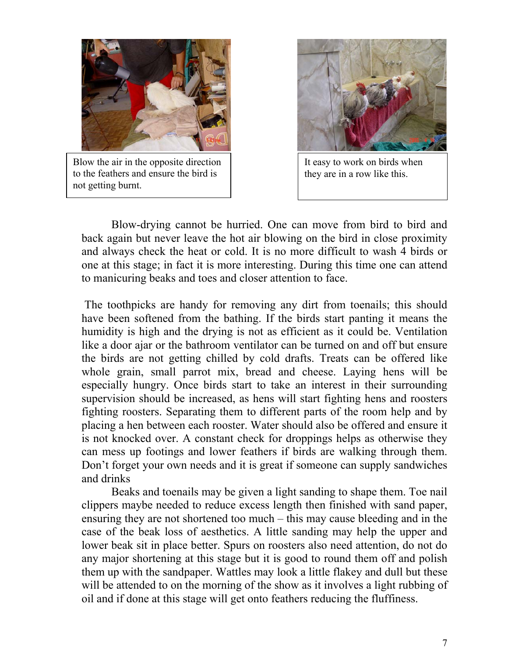

Blow the air in the opposite direction to the feathers and ensure the bird is not getting burnt.



It easy to work on birds when they are in a row like this.

Blow-drying cannot be hurried. One can move from bird to bird and back again but never leave the hot air blowing on the bird in close proximity and always check the heat or cold. It is no more difficult to wash 4 birds or one at this stage; in fact it is more interesting. During this time one can attend to manicuring beaks and toes and closer attention to face.

 The toothpicks are handy for removing any dirt from toenails; this should have been softened from the bathing. If the birds start panting it means the humidity is high and the drying is not as efficient as it could be. Ventilation like a door ajar or the bathroom ventilator can be turned on and off but ensure the birds are not getting chilled by cold drafts. Treats can be offered like whole grain, small parrot mix, bread and cheese. Laying hens will be especially hungry. Once birds start to take an interest in their surrounding supervision should be increased, as hens will start fighting hens and roosters fighting roosters. Separating them to different parts of the room help and by placing a hen between each rooster. Water should also be offered and ensure it is not knocked over. A constant check for droppings helps as otherwise they can mess up footings and lower feathers if birds are walking through them. Don't forget your own needs and it is great if someone can supply sandwiches and drinks

Beaks and toenails may be given a light sanding to shape them. Toe nail clippers maybe needed to reduce excess length then finished with sand paper, ensuring they are not shortened too much – this may cause bleeding and in the case of the beak loss of aesthetics. A little sanding may help the upper and lower beak sit in place better. Spurs on roosters also need attention, do not do any major shortening at this stage but it is good to round them off and polish them up with the sandpaper. Wattles may look a little flakey and dull but these will be attended to on the morning of the show as it involves a light rubbing of oil and if done at this stage will get onto feathers reducing the fluffiness.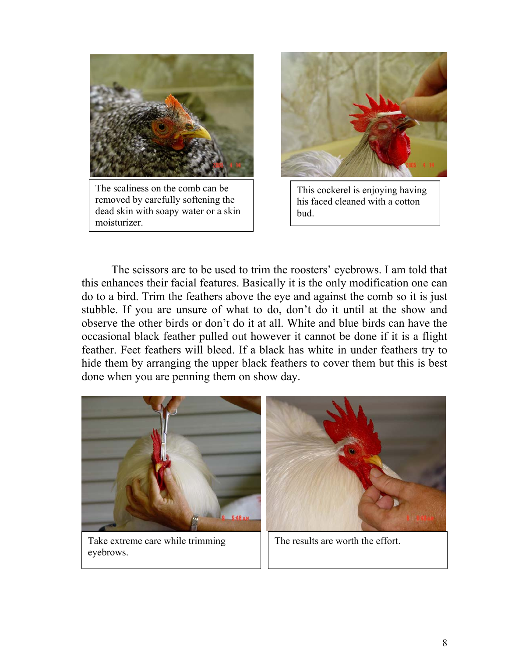

The scaliness on the comb can be removed by carefully softening the dead skin with soapy water or a skin moisturizer.



This cockerel is enjoying having his faced cleaned with a cotton bud.

The scissors are to be used to trim the roosters' eyebrows. I am told that this enhances their facial features. Basically it is the only modification one can do to a bird. Trim the feathers above the eye and against the comb so it is just stubble. If you are unsure of what to do, don't do it until at the show and observe the other birds or don't do it at all. White and blue birds can have the occasional black feather pulled out however it cannot be done if it is a flight feather. Feet feathers will bleed. If a black has white in under feathers try to hide them by arranging the upper black feathers to cover them but this is best done when you are penning them on show day.



Take extreme care while trimming eyebrows.

The results are worth the effort.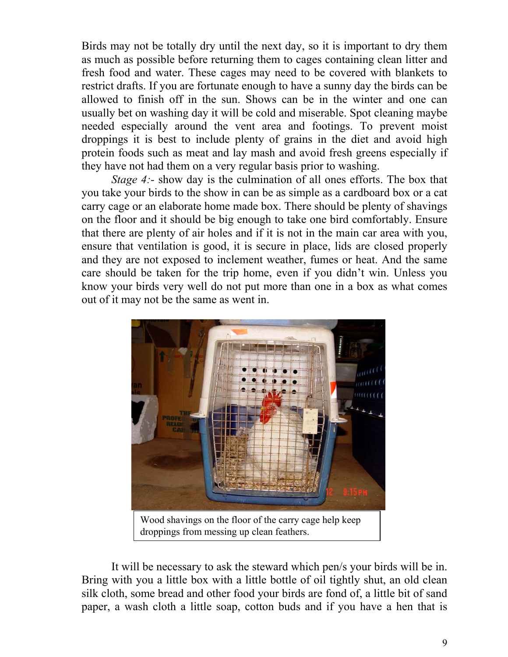Birds may not be totally dry until the next day, so it is important to dry them as much as possible before returning them to cages containing clean litter and fresh food and water. These cages may need to be covered with blankets to restrict drafts. If you are fortunate enough to have a sunny day the birds can be allowed to finish off in the sun. Shows can be in the winter and one can usually bet on washing day it will be cold and miserable. Spot cleaning maybe needed especially around the vent area and footings. To prevent moist droppings it is best to include plenty of grains in the diet and avoid high protein foods such as meat and lay mash and avoid fresh greens especially if they have not had them on a very regular basis prior to washing.

*Stage 4:*- show day is the culmination of all ones efforts. The box that you take your birds to the show in can be as simple as a cardboard box or a cat carry cage or an elaborate home made box. There should be plenty of shavings on the floor and it should be big enough to take one bird comfortably. Ensure that there are plenty of air holes and if it is not in the main car area with you, ensure that ventilation is good, it is secure in place, lids are closed properly and they are not exposed to inclement weather, fumes or heat. And the same care should be taken for the trip home, even if you didn't win. Unless you know your birds very well do not put more than one in a box as what comes out of it may not be the same as went in.



It will be necessary to ask the steward which pen/s your birds will be in. Bring with you a little box with a little bottle of oil tightly shut, an old clean silk cloth, some bread and other food your birds are fond of, a little bit of sand paper, a wash cloth a little soap, cotton buds and if you have a hen that is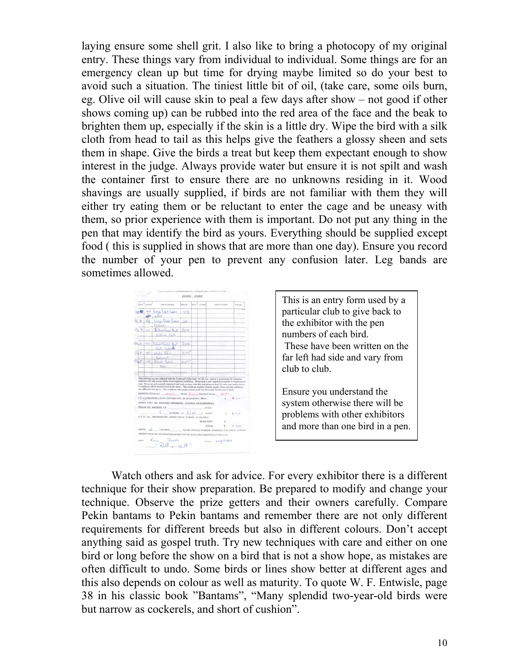laying ensure some shell grit. I also like to bring a photocopy of my original entry. These things vary from individual to individual. Some things are for an emergency clean up but time for drying maybe limited so do your best to avoid such a situation. The tiniest little bit of oil, (take care, some oils burn, eg. Olive oil will cause skin to peal a few days after show – not good if other shows coming up) can be rubbed into the red area of the face and the beak to brighten them up, especially if the skin is a little dry. Wipe the bird with a silk cloth from head to tail as this helps give the feathers a glossy sheen and sets them in shape. Give the birds a treat but keep them expectant enough to show interest in the judge. Always provide water but ensure it is not spilt and wash the container first to ensure there are no unknowns residing in it. Wood shavings are usually supplied, if birds are not familiar with them they will either try eating them or be reluctant to enter the cage and be uneasy with them, so prior experience with them is important. Do not put any thing in the pen that may identify the bird as yours. Everything should be supplied except food ( this is supplied in shows that are more than one day). Ensure you record the number of your pen to prevent any confusion later. Leg bands are sometimes allowed.



This is an entry form used by a particular club to give back to the exhibitor with the pen numbers of each bird. These have been written on the far left had side and vary from club to club.

Ensure you understand the system otherwise there will be problems with other exhibitors and more than one bird in a pen.

Watch others and ask for advice. For every exhibitor there is a different technique for their show preparation. Be prepared to modify and change your technique. Observe the prize getters and their owners carefully. Compare Pekin bantams to Pekin bantams and remember there are not only different requirements for different breeds but also in different colours. Don't accept anything said as gospel truth. Try new techniques with care and either on one bird or long before the show on a bird that is not a show hope, as mistakes are often difficult to undo. Some birds or lines show better at different ages and this also depends on colour as well as maturity. To quote W. F. Entwisle, page 38 in his classic book "Bantams", "Many splendid two-year-old birds were but narrow as cockerels, and short of cushion".